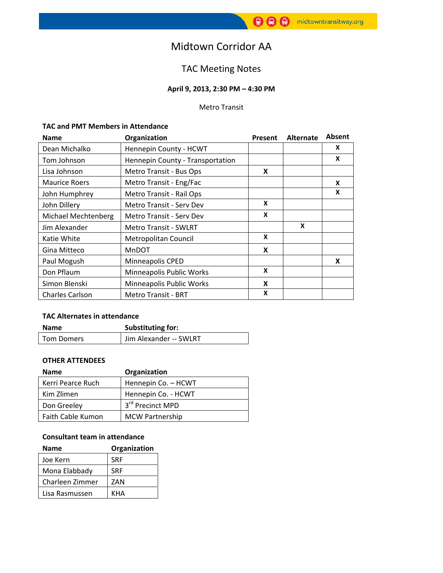# Midtown Corridor AA

## TAC Meeting Notes

## **April 9, 2013, 2:30 PM – 4:30 PM**

#### Metro Transit

#### **TAC and PMT Members in Attendance**

| <b>Name</b>            | Organization                     | Present | Alternate | Absent |
|------------------------|----------------------------------|---------|-----------|--------|
| Dean Michalko          | Hennepin County - HCWT           |         |           | X      |
| Tom Johnson            | Hennepin County - Transportation |         |           | X      |
| Lisa Johnson           | Metro Transit - Bus Ops          | X       |           |        |
| <b>Maurice Roers</b>   | Metro Transit - Eng/Fac          |         |           | X      |
| John Humphrey          | Metro Transit - Rail Ops         |         |           | X      |
| John Dillery           | Metro Transit - Serv Dev         | X       |           |        |
| Michael Mechtenberg    | <b>Metro Transit - Serv Dev</b>  | X       |           |        |
| Jim Alexander          | <b>Metro Transit - SWLRT</b>     |         | X         |        |
| Katie White            | Metropolitan Council             | X       |           |        |
| Gina Mitteco           | <b>MnDOT</b>                     | X       |           |        |
| Paul Mogush            | Minneapolis CPED                 |         |           | X      |
| Don Pflaum             | Minneapolis Public Works         | X       |           |        |
| Simon Blenski          | Minneapolis Public Works         | X       |           |        |
| <b>Charles Carlson</b> | <b>Metro Transit - BRT</b>       | X       |           |        |

## **TAC Alternates in attendance**

| Name              | Substituting for:      |  |
|-------------------|------------------------|--|
| <b>Tom Domers</b> | Jim Alexander -- SWLRT |  |

#### **OTHER ATTENDEES**

| <b>Name</b>       | Organization           |  |
|-------------------|------------------------|--|
| Kerri Pearce Ruch | Hennepin Co. - HCWT    |  |
| Kim Zlimen        | Hennepin Co. - HCWT    |  |
| Don Greeley       | 3rd Precinct MPD       |  |
| Faith Cable Kumon | <b>MCW Partnership</b> |  |

#### **Consultant team in attendance**

| Name            | Organization |
|-----------------|--------------|
| Joe Kern        | <b>SRF</b>   |
| Mona Elabbady   | <b>SRF</b>   |
| Charleen Zimmer | ZAN          |
| Lisa Rasmussen  | KHA          |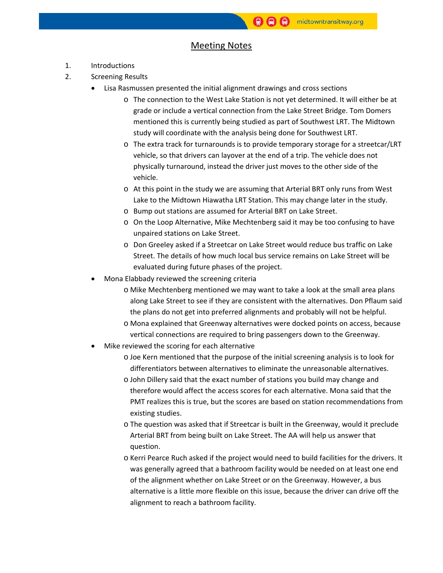### Meeting Notes

- 1. Introductions
- 2. Screening Results
	- Lisa Rasmussen presented the initial alignment drawings and cross sections
		- o The connection to the West Lake Station is not yet determined. It will either be at grade or include a vertical connection from the Lake Street Bridge. Tom Domers mentioned this is currently being studied as part of Southwest LRT. The Midtown study will coordinate with the analysis being done for Southwest LRT.
		- o The extra track for turnarounds is to provide temporary storage for a streetcar/LRT vehicle, so that drivers can layover at the end of a trip. The vehicle does not physically turnaround, instead the driver just moves to the other side of the vehicle.
		- o At this point in the study we are assuming that Arterial BRT only runs from West Lake to the Midtown Hiawatha LRT Station. This may change later in the study.
		- o Bump out stations are assumed for Arterial BRT on Lake Street.
		- o On the Loop Alternative, Mike Mechtenberg said it may be too confusing to have unpaired stations on Lake Street.
		- o Don Greeley asked if a Streetcar on Lake Street would reduce bus traffic on Lake Street. The details of how much local bus service remains on Lake Street will be evaluated during future phases of the project.
	- Mona Elabbady reviewed the screening criteria
		- o Mike Mechtenberg mentioned we may want to take a look at the small area plans along Lake Street to see if they are consistent with the alternatives. Don Pflaum said the plans do not get into preferred alignments and probably will not be helpful.
		- o Mona explained that Greenway alternatives were docked points on access, because vertical connections are required to bring passengers down to the Greenway.
	- Mike reviewed the scoring for each alternative
		- o Joe Kern mentioned that the purpose of the initial screening analysis is to look for differentiators between alternatives to eliminate the unreasonable alternatives.
		- o John Dillery said that the exact number of stations you build may change and therefore would affect the access scores for each alternative. Mona said that the PMT realizes this is true, but the scores are based on station recommendations from existing studies.
		- o The question was asked that if Streetcar is built in the Greenway, would it preclude Arterial BRT from being built on Lake Street. The AA will help us answer that question.
		- o Kerri Pearce Ruch asked if the project would need to build facilities for the drivers. It was generally agreed that a bathroom facility would be needed on at least one end of the alignment whether on Lake Street or on the Greenway. However, a bus alternative is a little more flexible on this issue, because the driver can drive off the alignment to reach a bathroom facility.